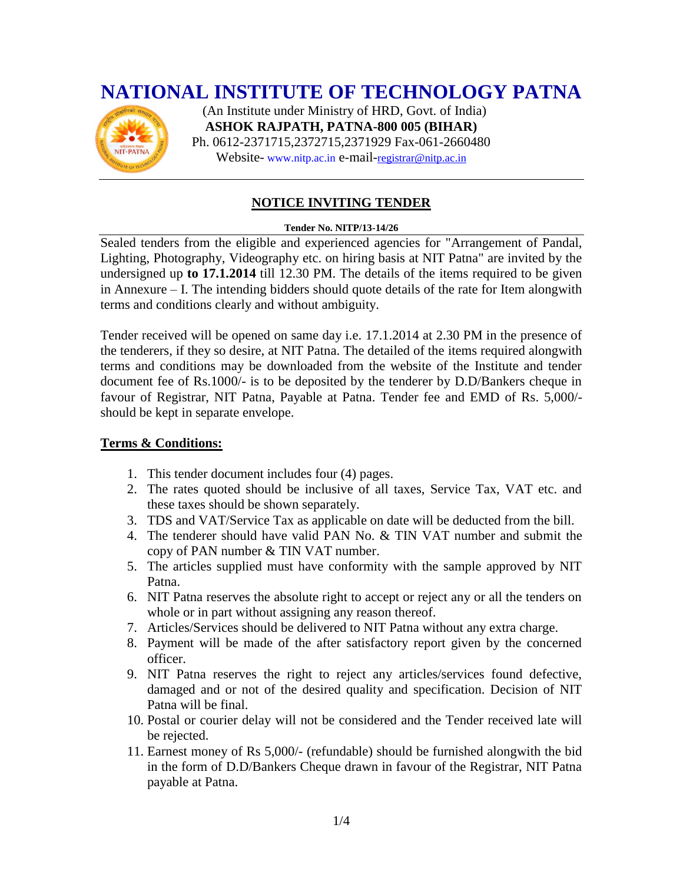### **NATIONAL INSTITUTE OF TECHNOLOGY PATNA**



 (An Institute under Ministry of HRD, Govt. of India) **ASHOK RAJPATH, PATNA-800 005 (BIHAR)** Ph. 0612-2371715,2372715,2371929 Fax-061-2660480 Website- www.nitp.ac.in e-mail-[registrar@nitp.ac.in](mailto:registrar@nitp.ac.in)

#### **NOTICE INVITING TENDER**

#### **Tender No. NITP/13-14/26**

Sealed tenders from the eligible and experienced agencies for "Arrangement of Pandal, Lighting, Photography, Videography etc. on hiring basis at NIT Patna" are invited by the undersigned up **to 17.1.2014** till 12.30 PM. The details of the items required to be given in Annexure – I. The intending bidders should quote details of the rate for Item alongwith terms and conditions clearly and without ambiguity.

Tender received will be opened on same day i.e. 17.1.2014 at 2.30 PM in the presence of the tenderers, if they so desire, at NIT Patna. The detailed of the items required alongwith terms and conditions may be downloaded from the website of the Institute and tender document fee of Rs.1000/- is to be deposited by the tenderer by D.D/Bankers cheque in favour of Registrar, NIT Patna, Payable at Patna. Tender fee and EMD of Rs. 5,000/ should be kept in separate envelope.

#### **Terms & Conditions:**

- 1. This tender document includes four (4) pages.
- 2. The rates quoted should be inclusive of all taxes, Service Tax, VAT etc. and these taxes should be shown separately.
- 3. TDS and VAT/Service Tax as applicable on date will be deducted from the bill.
- 4. The tenderer should have valid PAN No. & TIN VAT number and submit the copy of PAN number & TIN VAT number.
- 5. The articles supplied must have conformity with the sample approved by NIT Patna.
- 6. NIT Patna reserves the absolute right to accept or reject any or all the tenders on whole or in part without assigning any reason thereof.
- 7. Articles/Services should be delivered to NIT Patna without any extra charge.
- 8. Payment will be made of the after satisfactory report given by the concerned officer.
- 9. NIT Patna reserves the right to reject any articles/services found defective, damaged and or not of the desired quality and specification. Decision of NIT Patna will be final.
- 10. Postal or courier delay will not be considered and the Tender received late will be rejected.
- 11. Earnest money of Rs 5,000/- (refundable) should be furnished alongwith the bid in the form of D.D/Bankers Cheque drawn in favour of the Registrar, NIT Patna payable at Patna.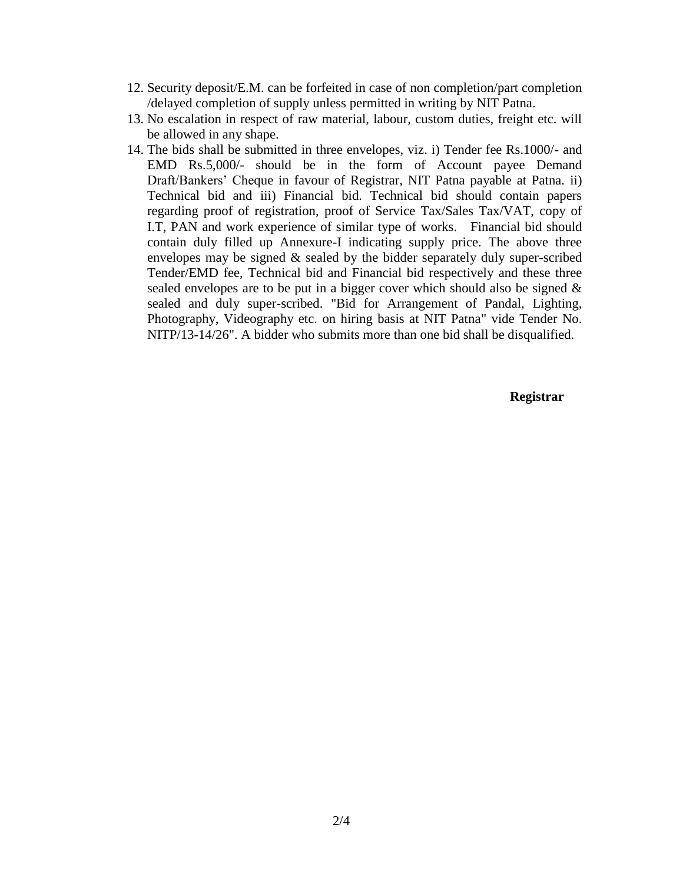- 12. Security deposit/E.M. can be forfeited in case of non completion/part completion /delayed completion of supply unless permitted in writing by NIT Patna.
- 13. No escalation in respect of raw material, labour, custom duties, freight etc. will be allowed in any shape.
- 14. The bids shall be submitted in three envelopes, viz. i) Tender fee Rs.1000/- and EMD Rs.5,000/- should be in the form of Account payee Demand Draft/Bankers' Cheque in favour of Registrar, NIT Patna payable at Patna. ii) Technical bid and iii) Financial bid. Technical bid should contain papers regarding proof of registration, proof of Service Tax/Sales Tax/VAT, copy of I.T, PAN and work experience of similar type of works. Financial bid should contain duly filled up Annexure-I indicating supply price. The above three envelopes may be signed & sealed by the bidder separately duly super-scribed Tender/EMD fee, Technical bid and Financial bid respectively and these three sealed envelopes are to be put in a bigger cover which should also be signed & sealed and duly super-scribed. "Bid for Arrangement of Pandal, Lighting, Photography, Videography etc. on hiring basis at NIT Patna" vide Tender No. NITP/13-14/26". A bidder who submits more than one bid shall be disqualified.

**Registrar**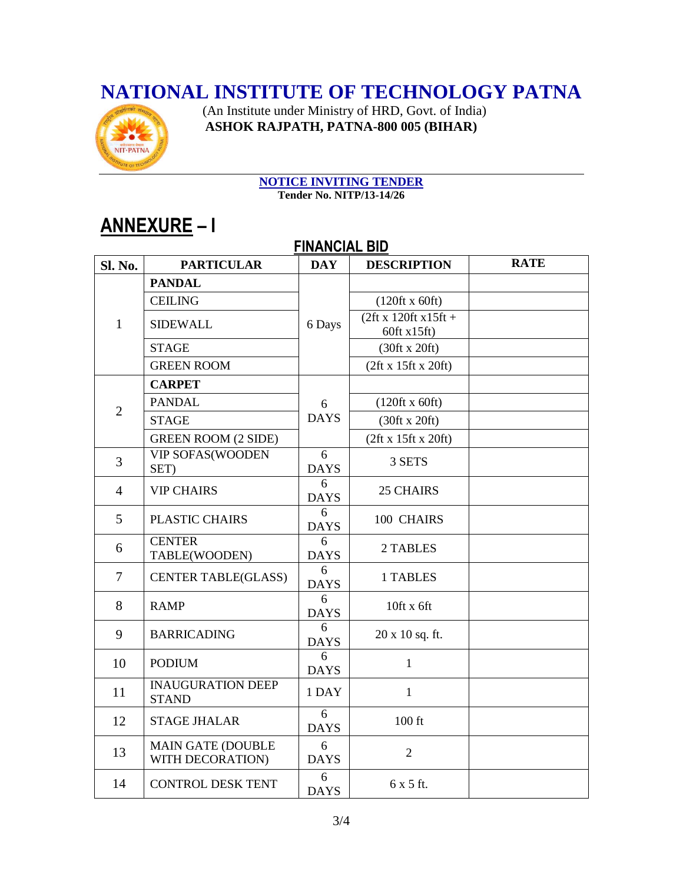### **NATIONAL INSTITUTE OF TECHNOLOGY PATNA**



 (An Institute under Ministry of HRD, Govt. of India) **ASHOK RAJPATH, PATNA-800 005 (BIHAR)**

# **NOTICE INVITING TENDER**

**Tender No. NITP/13-14/26**

## **ANNEXURE – I**

| שוט באוטאורו ו |                                              |                  |                                       |             |  |  |  |  |
|----------------|----------------------------------------------|------------------|---------------------------------------|-------------|--|--|--|--|
| <b>Sl. No.</b> | <b>PARTICULAR</b>                            | <b>DAY</b>       | <b>DESCRIPTION</b>                    | <b>RATE</b> |  |  |  |  |
| $\mathbf{1}$   | <b>PANDAL</b>                                | 6 Days           |                                       |             |  |  |  |  |
|                | <b>CEILING</b>                               |                  | $(120 \text{ft} \times 60 \text{ft})$ |             |  |  |  |  |
|                | <b>SIDEWALL</b>                              |                  | $(2ft x 120ft x15ft +$<br>60ft x15ft) |             |  |  |  |  |
|                | <b>STAGE</b>                                 |                  | (30ft x 20ft)                         |             |  |  |  |  |
|                | <b>GREEN ROOM</b>                            |                  | (2ft x 15ft x 20ft)                   |             |  |  |  |  |
| $\overline{2}$ | <b>CARPET</b>                                | 6<br><b>DAYS</b> |                                       |             |  |  |  |  |
|                | <b>PANDAL</b>                                |                  | $(120 \text{ft} \times 60 \text{ft})$ |             |  |  |  |  |
|                | <b>STAGE</b>                                 |                  | (30ft x 20ft)                         |             |  |  |  |  |
|                | <b>GREEN ROOM (2 SIDE)</b>                   |                  | (2ft x 15ft x 20ft)                   |             |  |  |  |  |
| 3              | VIP SOFAS(WOODEN<br>SET)                     | 6<br><b>DAYS</b> | 3 SETS                                |             |  |  |  |  |
| $\overline{4}$ | <b>VIP CHAIRS</b>                            | 6<br><b>DAYS</b> | <b>25 CHAIRS</b>                      |             |  |  |  |  |
| 5              | PLASTIC CHAIRS                               | 6<br><b>DAYS</b> | 100 CHAIRS                            |             |  |  |  |  |
| 6              | <b>CENTER</b><br>TABLE(WOODEN)               | 6<br><b>DAYS</b> | 2 TABLES                              |             |  |  |  |  |
| $\tau$         | <b>CENTER TABLE(GLASS)</b>                   | 6<br><b>DAYS</b> | 1 TABLES                              |             |  |  |  |  |
| 8              | <b>RAMP</b>                                  | 6<br><b>DAYS</b> | $10$ ft x 6ft                         |             |  |  |  |  |
| 9              | <b>BARRICADING</b>                           | 6<br><b>DAYS</b> | 20 x 10 sq. ft.                       |             |  |  |  |  |
| 10             | <b>PODIUM</b>                                | 6<br><b>DAYS</b> | $\mathbf{1}$                          |             |  |  |  |  |
| 11             | <b>INAUGURATION DEEP</b><br><b>STAND</b>     | 1 DAY            | $\mathbf{1}$                          |             |  |  |  |  |
| 12             | <b>STAGE JHALAR</b>                          | 6<br><b>DAYS</b> | $100$ ft                              |             |  |  |  |  |
| 13             | <b>MAIN GATE (DOUBLE</b><br>WITH DECORATION) | 6<br><b>DAYS</b> | $\overline{2}$                        |             |  |  |  |  |
| 14             | <b>CONTROL DESK TENT</b>                     | 6<br><b>DAYS</b> | 6 x 5 ft.                             |             |  |  |  |  |

### **FINANCIAL BID**